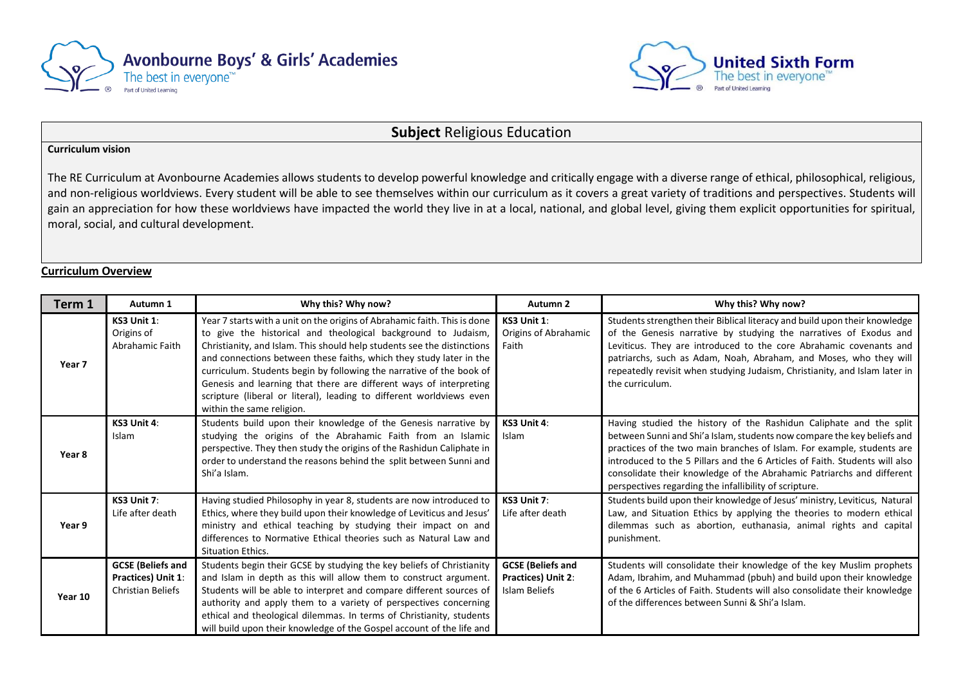



### **Subject** Religious Education

#### **Curriculum vision**

The RE Curriculum at Avonbourne Academies allows students to develop powerful knowledge and critically engage with a diverse range of ethical, philosophical, religious, and non-religious worldviews. Every student will be able to see themselves within our curriculum as it covers a great variety of traditions and perspectives. Students will gain an appreciation for how these worldviews have impacted the world they live in at a local, national, and global level, giving them explicit opportunities for spiritual, moral, social, and cultural development.

#### **Curriculum Overview**

| Term 1            | Autumn 1                                                                          | Why this? Why now?                                                                                                                                                                                                                                                                                                                                                                                                                                                                                                                              | Autumn 2                                                                      | Why this? Why now?                                                                                                                                                                                                                                                                                                                                                                                                                        |
|-------------------|-----------------------------------------------------------------------------------|-------------------------------------------------------------------------------------------------------------------------------------------------------------------------------------------------------------------------------------------------------------------------------------------------------------------------------------------------------------------------------------------------------------------------------------------------------------------------------------------------------------------------------------------------|-------------------------------------------------------------------------------|-------------------------------------------------------------------------------------------------------------------------------------------------------------------------------------------------------------------------------------------------------------------------------------------------------------------------------------------------------------------------------------------------------------------------------------------|
| Year <sub>7</sub> | KS3 Unit 1:<br>Origins of<br>Abrahamic Faith                                      | Year 7 starts with a unit on the origins of Abrahamic faith. This is done<br>to give the historical and theological background to Judaism,<br>Christianity, and Islam. This should help students see the distinctions<br>and connections between these faiths, which they study later in the<br>curriculum. Students begin by following the narrative of the book of<br>Genesis and learning that there are different ways of interpreting<br>scripture (liberal or literal), leading to different worldviews even<br>within the same religion. | KS3 Unit 1:<br>Origins of Abrahamic<br>Faith                                  | Students strengthen their Biblical literacy and build upon their knowledge<br>of the Genesis narrative by studying the narratives of Exodus and<br>Leviticus. They are introduced to the core Abrahamic covenants and<br>patriarchs, such as Adam, Noah, Abraham, and Moses, who they will<br>repeatedly revisit when studying Judaism, Christianity, and Islam later in<br>the curriculum.                                               |
| Year 8            | KS3 Unit 4:<br>Islam                                                              | Students build upon their knowledge of the Genesis narrative by<br>studying the origins of the Abrahamic Faith from an Islamic<br>perspective. They then study the origins of the Rashidun Caliphate in<br>order to understand the reasons behind the split between Sunni and<br>Shi'a Islam.                                                                                                                                                                                                                                                   | KS3 Unit 4:<br>Islam                                                          | Having studied the history of the Rashidun Caliphate and the split<br>between Sunni and Shi'a Islam, students now compare the key beliefs and<br>practices of the two main branches of Islam. For example, students are<br>introduced to the 5 Pillars and the 6 Articles of Faith. Students will also<br>consolidate their knowledge of the Abrahamic Patriarchs and different<br>perspectives regarding the infallibility of scripture. |
| Year 9            | KS3 Unit 7:<br>Life after death                                                   | Having studied Philosophy in year 8, students are now introduced to<br>Ethics, where they build upon their knowledge of Leviticus and Jesus'<br>ministry and ethical teaching by studying their impact on and<br>differences to Normative Ethical theories such as Natural Law and<br><b>Situation Ethics.</b>                                                                                                                                                                                                                                  | KS3 Unit 7:<br>Life after death                                               | Students build upon their knowledge of Jesus' ministry, Leviticus, Natural<br>Law, and Situation Ethics by applying the theories to modern ethical<br>dilemmas such as abortion, euthanasia, animal rights and capital<br>punishment.                                                                                                                                                                                                     |
| Year 10           | <b>GCSE</b> (Beliefs and<br><b>Practices) Unit 1:</b><br><b>Christian Beliefs</b> | Students begin their GCSE by studying the key beliefs of Christianity<br>and Islam in depth as this will allow them to construct argument.<br>Students will be able to interpret and compare different sources of<br>authority and apply them to a variety of perspectives concerning<br>ethical and theological dilemmas. In terms of Christianity, students<br>will build upon their knowledge of the Gospel account of the life and                                                                                                          | <b>GCSE</b> (Beliefs and<br><b>Practices) Unit 2:</b><br><b>Islam Beliefs</b> | Students will consolidate their knowledge of the key Muslim prophets<br>Adam, Ibrahim, and Muhammad (pbuh) and build upon their knowledge<br>of the 6 Articles of Faith. Students will also consolidate their knowledge<br>of the differences between Sunni & Shi'a Islam.                                                                                                                                                                |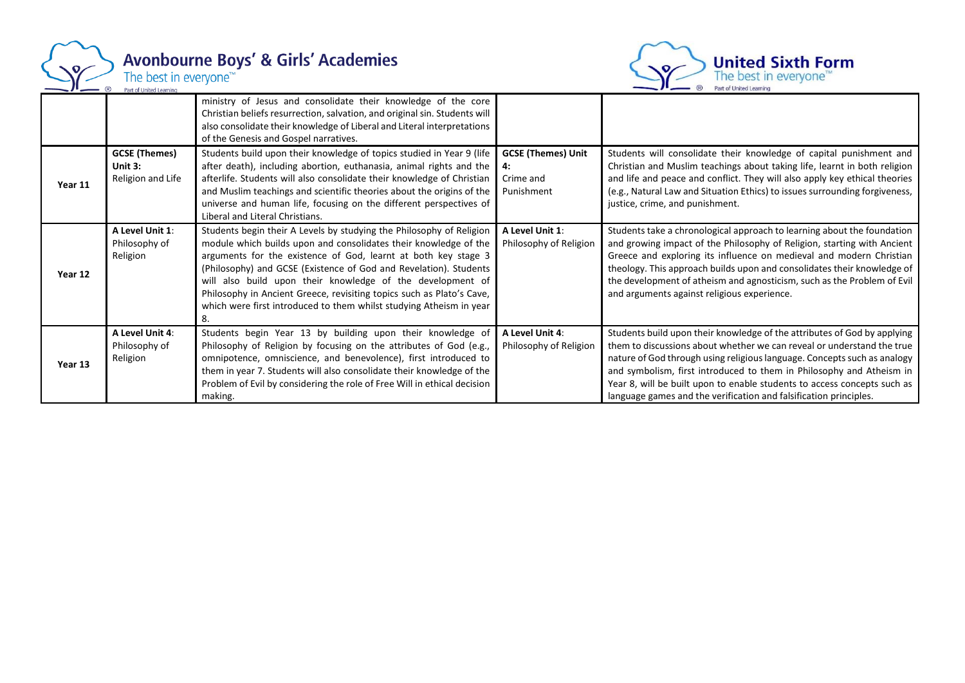

# Avonbourne Boys' & Girls' Academies<br>The best in everyone<sup>r\*</sup>



|         |                                                      | ministry of Jesus and consolidate their knowledge of the core<br>Christian beliefs resurrection, salvation, and original sin. Students will<br>also consolidate their knowledge of Liberal and Literal interpretations<br>of the Genesis and Gospel narratives.                                                                                                                                                                                                                                     |                                                            |                                                                                                                                                                                                                                                                                                                                                                                                                                                         |
|---------|------------------------------------------------------|-----------------------------------------------------------------------------------------------------------------------------------------------------------------------------------------------------------------------------------------------------------------------------------------------------------------------------------------------------------------------------------------------------------------------------------------------------------------------------------------------------|------------------------------------------------------------|---------------------------------------------------------------------------------------------------------------------------------------------------------------------------------------------------------------------------------------------------------------------------------------------------------------------------------------------------------------------------------------------------------------------------------------------------------|
| Year 11 | <b>GCSE (Themes)</b><br>Unit 3:<br>Religion and Life | Students build upon their knowledge of topics studied in Year 9 (life<br>after death), including abortion, euthanasia, animal rights and the<br>afterlife. Students will also consolidate their knowledge of Christian<br>and Muslim teachings and scientific theories about the origins of the<br>universe and human life, focusing on the different perspectives of<br>Liberal and Literal Christians.                                                                                            | <b>GCSE (Themes) Unit</b><br>4:<br>Crime and<br>Punishment | Students will consolidate their knowledge of capital punishment and<br>Christian and Muslim teachings about taking life, learnt in both religion<br>and life and peace and conflict. They will also apply key ethical theories<br>(e.g., Natural Law and Situation Ethics) to issues surrounding forgiveness,<br>justice, crime, and punishment.                                                                                                        |
| Year 12 | A Level Unit 1:<br>Philosophy of<br>Religion         | Students begin their A Levels by studying the Philosophy of Religion<br>module which builds upon and consolidates their knowledge of the<br>arguments for the existence of God, learnt at both key stage 3<br>(Philosophy) and GCSE (Existence of God and Revelation). Students<br>will also build upon their knowledge of the development of<br>Philosophy in Ancient Greece, revisiting topics such as Plato's Cave,<br>which were first introduced to them whilst studying Atheism in year<br>8. | A Level Unit 1:<br>Philosophy of Religion                  | Students take a chronological approach to learning about the foundation<br>and growing impact of the Philosophy of Religion, starting with Ancient<br>Greece and exploring its influence on medieval and modern Christian<br>theology. This approach builds upon and consolidates their knowledge of<br>the development of atheism and agnosticism, such as the Problem of Evil<br>and arguments against religious experience.                          |
| Year 13 | A Level Unit 4:<br>Philosophy of<br>Religion         | Students begin Year 13 by building upon their knowledge of<br>Philosophy of Religion by focusing on the attributes of God (e.g.,<br>omnipotence, omniscience, and benevolence), first introduced to<br>them in year 7. Students will also consolidate their knowledge of the<br>Problem of Evil by considering the role of Free Will in ethical decision<br>making.                                                                                                                                 | A Level Unit 4:<br>Philosophy of Religion                  | Students build upon their knowledge of the attributes of God by applying<br>them to discussions about whether we can reveal or understand the true<br>nature of God through using religious language. Concepts such as analogy<br>and symbolism, first introduced to them in Philosophy and Atheism in<br>Year 8, will be built upon to enable students to access concepts such as<br>language games and the verification and falsification principles. |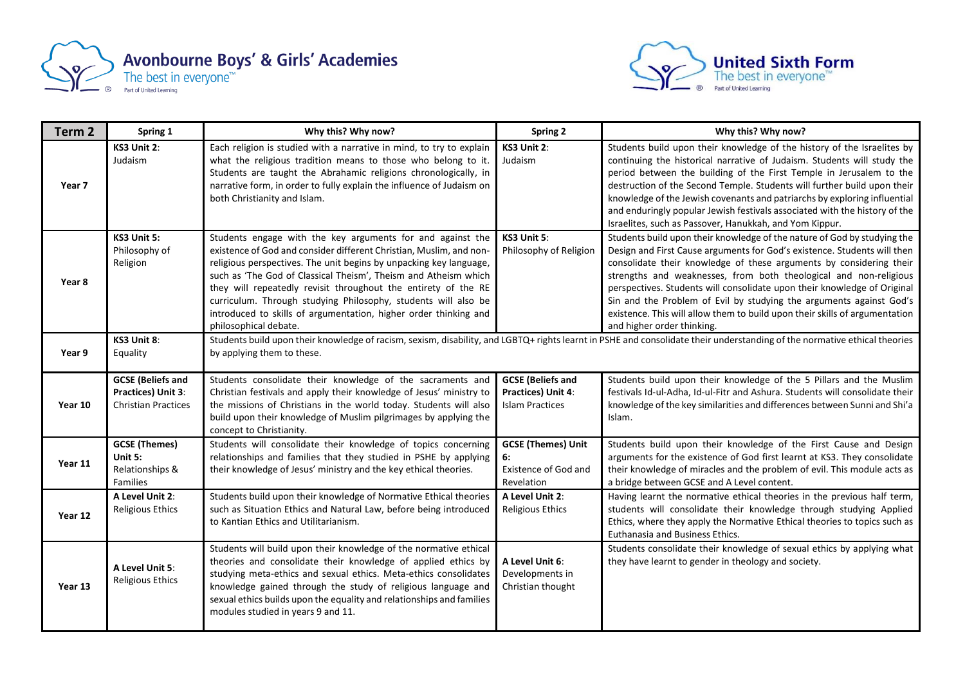



| Term <sub>2</sub> | Spring 1                                                                     | Why this? Why now?                                                                                                                                                                                                                                                                                                                                                                                                                                                                                          | Spring 2                                                                 | Why this? Why now?                                                                                                                                                                                                                                                                                                                                                                                                                                                                                                                                               |
|-------------------|------------------------------------------------------------------------------|-------------------------------------------------------------------------------------------------------------------------------------------------------------------------------------------------------------------------------------------------------------------------------------------------------------------------------------------------------------------------------------------------------------------------------------------------------------------------------------------------------------|--------------------------------------------------------------------------|------------------------------------------------------------------------------------------------------------------------------------------------------------------------------------------------------------------------------------------------------------------------------------------------------------------------------------------------------------------------------------------------------------------------------------------------------------------------------------------------------------------------------------------------------------------|
| Year 7            | KS3 Unit 2:<br>Judaism                                                       | Each religion is studied with a narrative in mind, to try to explain<br>what the religious tradition means to those who belong to it.<br>Students are taught the Abrahamic religions chronologically, in<br>narrative form, in order to fully explain the influence of Judaism on<br>both Christianity and Islam.                                                                                                                                                                                           | KS3 Unit 2:<br>Judaism                                                   | Students build upon their knowledge of the history of the Israelites by<br>continuing the historical narrative of Judaism. Students will study the<br>period between the building of the First Temple in Jerusalem to the<br>destruction of the Second Temple. Students will further build upon their<br>knowledge of the Jewish covenants and patriarchs by exploring influential<br>and enduringly popular Jewish festivals associated with the history of the<br>Israelites, such as Passover, Hanukkah, and Yom Kippur.                                      |
| Year 8            | KS3 Unit 5:<br>Philosophy of<br>Religion                                     | Students engage with the key arguments for and against the<br>existence of God and consider different Christian, Muslim, and non-<br>religious perspectives. The unit begins by unpacking key language,<br>such as 'The God of Classical Theism', Theism and Atheism which<br>they will repeatedly revisit throughout the entirety of the RE<br>curriculum. Through studying Philosophy, students will also be<br>introduced to skills of argumentation, higher order thinking and<br>philosophical debate. | KS3 Unit 5:<br>Philosophy of Religion                                    | Students build upon their knowledge of the nature of God by studying the<br>Design and First Cause arguments for God's existence. Students will then<br>consolidate their knowledge of these arguments by considering their<br>strengths and weaknesses, from both theological and non-religious<br>perspectives. Students will consolidate upon their knowledge of Original<br>Sin and the Problem of Evil by studying the arguments against God's<br>existence. This will allow them to build upon their skills of argumentation<br>and higher order thinking. |
| Year 9            | KS3 Unit 8:<br>Equality                                                      | Students build upon their knowledge of racism, sexism, disability, and LGBTQ+ rights learnt in PSHE and consolidate their understanding of the normative ethical theories<br>by applying them to these.                                                                                                                                                                                                                                                                                                     |                                                                          |                                                                                                                                                                                                                                                                                                                                                                                                                                                                                                                                                                  |
| Year 10           | <b>GCSE</b> (Beliefs and<br>Practices) Unit 3:<br><b>Christian Practices</b> | Students consolidate their knowledge of the sacraments and<br>Christian festivals and apply their knowledge of Jesus' ministry to<br>the missions of Christians in the world today. Students will also<br>build upon their knowledge of Muslim pilgrimages by applying the<br>concept to Christianity.                                                                                                                                                                                                      | <b>GCSE</b> (Beliefs and<br>Practices) Unit 4:<br><b>Islam Practices</b> | Students build upon their knowledge of the 5 Pillars and the Muslim<br>festivals Id-ul-Adha, Id-ul-Fitr and Ashura. Students will consolidate their<br>knowledge of the key similarities and differences between Sunni and Shi'a<br>Islam.                                                                                                                                                                                                                                                                                                                       |
| Year 11           | <b>GCSE (Themes)</b><br>Unit 5:<br>Relationships &<br>Families               | Students will consolidate their knowledge of topics concerning<br>relationships and families that they studied in PSHE by applying<br>their knowledge of Jesus' ministry and the key ethical theories.                                                                                                                                                                                                                                                                                                      | <b>GCSE (Themes) Unit</b><br>6:<br>Existence of God and<br>Revelation    | Students build upon their knowledge of the First Cause and Design<br>arguments for the existence of God first learnt at KS3. They consolidate<br>their knowledge of miracles and the problem of evil. This module acts as<br>a bridge between GCSE and A Level content.                                                                                                                                                                                                                                                                                          |
| Year 12           | A Level Unit 2:<br><b>Religious Ethics</b>                                   | Students build upon their knowledge of Normative Ethical theories<br>such as Situation Ethics and Natural Law, before being introduced<br>to Kantian Ethics and Utilitarianism.                                                                                                                                                                                                                                                                                                                             | A Level Unit 2:<br><b>Religious Ethics</b>                               | Having learnt the normative ethical theories in the previous half term,<br>students will consolidate their knowledge through studying Applied<br>Ethics, where they apply the Normative Ethical theories to topics such as<br>Euthanasia and Business Ethics.                                                                                                                                                                                                                                                                                                    |
| Year 13           | A Level Unit 5:<br>Religious Ethics                                          | Students will build upon their knowledge of the normative ethical<br>theories and consolidate their knowledge of applied ethics by<br>studying meta-ethics and sexual ethics. Meta-ethics consolidates<br>knowledge gained through the study of religious language and<br>sexual ethics builds upon the equality and relationships and families<br>modules studied in years 9 and 11.                                                                                                                       | A Level Unit 6:<br>Developments in<br>Christian thought                  | Students consolidate their knowledge of sexual ethics by applying what<br>they have learnt to gender in theology and society.                                                                                                                                                                                                                                                                                                                                                                                                                                    |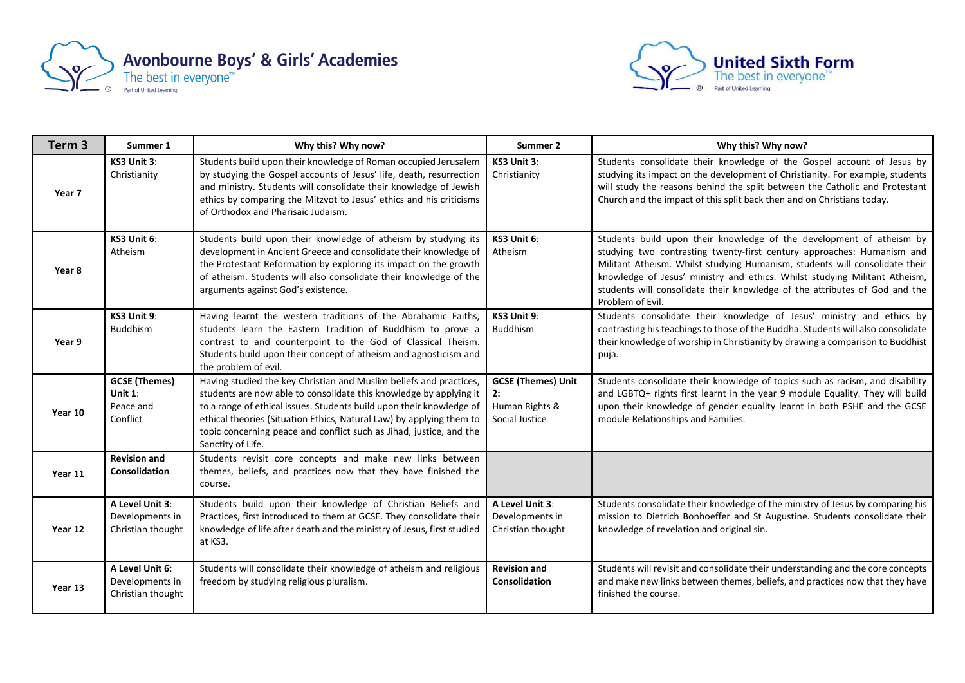



| Term <sub>3</sub> | Summer 1                                                 | Why this? Why now?                                                                                                                                                                                                                                                                                                                                                                   | Summer 2                                                      | Why this? Why now?                                                                                                                                                                                                                                                                                                                                                                                            |
|-------------------|----------------------------------------------------------|--------------------------------------------------------------------------------------------------------------------------------------------------------------------------------------------------------------------------------------------------------------------------------------------------------------------------------------------------------------------------------------|---------------------------------------------------------------|---------------------------------------------------------------------------------------------------------------------------------------------------------------------------------------------------------------------------------------------------------------------------------------------------------------------------------------------------------------------------------------------------------------|
| Year 7            | KS3 Unit 3:<br>Christianity                              | Students build upon their knowledge of Roman occupied Jerusalem<br>by studying the Gospel accounts of Jesus' life, death, resurrection<br>and ministry. Students will consolidate their knowledge of Jewish<br>ethics by comparing the Mitzvot to Jesus' ethics and his criticisms<br>of Orthodox and Pharisaic Judaism.                                                             | KS3 Unit 3:<br>Christianity                                   | Students consolidate their knowledge of the Gospel account of Jesus by<br>studying its impact on the development of Christianity. For example, students<br>will study the reasons behind the split between the Catholic and Protestant<br>Church and the impact of this split back then and on Christians today.                                                                                              |
| Year 8            | KS3 Unit 6:<br>Atheism                                   | Students build upon their knowledge of atheism by studying its<br>development in Ancient Greece and consolidate their knowledge of<br>the Protestant Reformation by exploring its impact on the growth<br>of atheism. Students will also consolidate their knowledge of the<br>arguments against God's existence.                                                                    | KS3 Unit 6:<br>Atheism                                        | Students build upon their knowledge of the development of atheism by<br>studying two contrasting twenty-first century approaches: Humanism and<br>Militant Atheism. Whilst studying Humanism, students will consolidate their<br>knowledge of Jesus' ministry and ethics. Whilst studying Militant Atheism,<br>students will consolidate their knowledge of the attributes of God and the<br>Problem of Evil. |
| Year 9            | KS3 Unit 9:<br><b>Buddhism</b>                           | Having learnt the western traditions of the Abrahamic Faiths,<br>students learn the Eastern Tradition of Buddhism to prove a<br>contrast to and counterpoint to the God of Classical Theism.<br>Students build upon their concept of atheism and agnosticism and<br>the problem of evil.                                                                                             | KS3 Unit 9:<br><b>Buddhism</b>                                | Students consolidate their knowledge of Jesus' ministry and ethics by<br>contrasting his teachings to those of the Buddha. Students will also consolidate<br>their knowledge of worship in Christianity by drawing a comparison to Buddhist<br>puja.                                                                                                                                                          |
| Year 10           | <b>GCSE (Themes)</b><br>Unit 1:<br>Peace and<br>Conflict | Having studied the key Christian and Muslim beliefs and practices,<br>students are now able to consolidate this knowledge by applying it<br>to a range of ethical issues. Students build upon their knowledge of<br>ethical theories (Situation Ethics, Natural Law) by applying them to<br>topic concerning peace and conflict such as Jihad, justice, and the<br>Sanctity of Life. | <b>GCSE (Themes) Unit</b><br>Human Rights &<br>Social Justice | Students consolidate their knowledge of topics such as racism, and disability<br>and LGBTQ+ rights first learnt in the year 9 module Equality. They will build<br>upon their knowledge of gender equality learnt in both PSHE and the GCSE<br>module Relationships and Families.                                                                                                                              |
| Year 11           | <b>Revision and</b><br>Consolidation                     | Students revisit core concepts and make new links between<br>themes, beliefs, and practices now that they have finished the<br>course.                                                                                                                                                                                                                                               |                                                               |                                                                                                                                                                                                                                                                                                                                                                                                               |
| Year 12           | A Level Unit 3:<br>Developments in<br>Christian thought  | Students build upon their knowledge of Christian Beliefs and<br>Practices, first introduced to them at GCSE. They consolidate their<br>knowledge of life after death and the ministry of Jesus, first studied<br>at KS3.                                                                                                                                                             | A Level Unit 3:<br>Developments in<br>Christian thought       | Students consolidate their knowledge of the ministry of Jesus by comparing his<br>mission to Dietrich Bonhoeffer and St Augustine. Students consolidate their<br>knowledge of revelation and original sin.                                                                                                                                                                                                    |
| Year 13           | A Level Unit 6:<br>Developments in<br>Christian thought  | Students will consolidate their knowledge of atheism and religious<br>freedom by studying religious pluralism.                                                                                                                                                                                                                                                                       | <b>Revision and</b><br>Consolidation                          | Students will revisit and consolidate their understanding and the core concepts<br>and make new links between themes, beliefs, and practices now that they have<br>finished the course.                                                                                                                                                                                                                       |